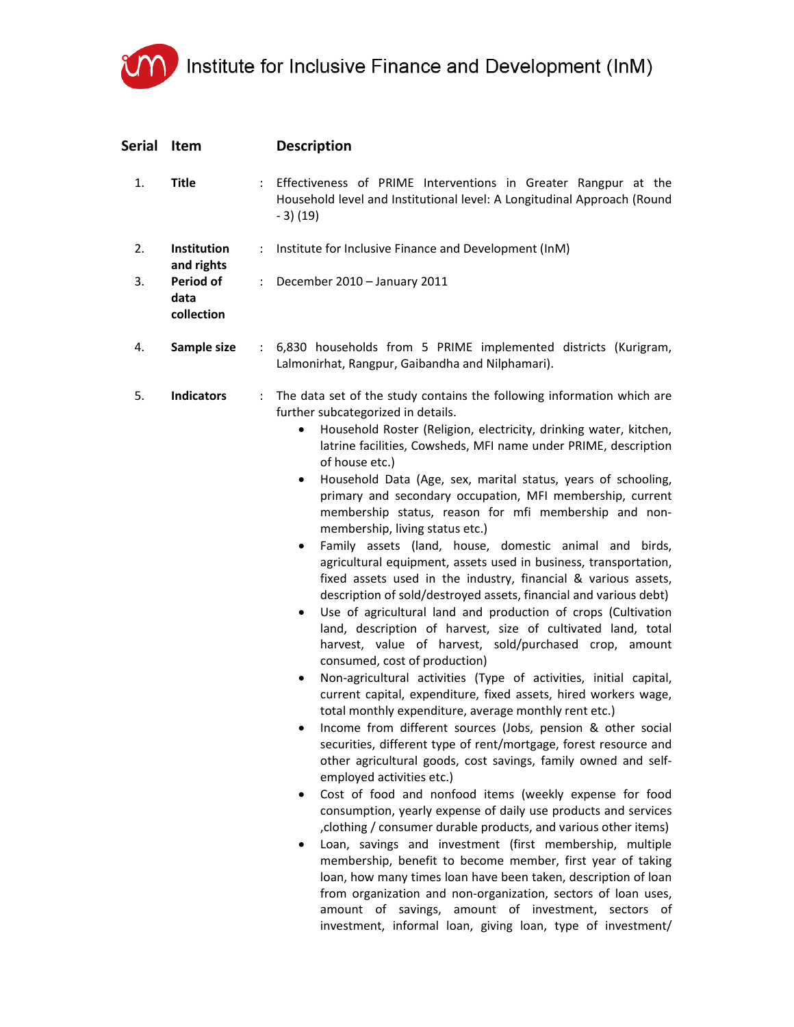

| Serial | <b>Item</b>                     |                      | <b>Description</b>                                                                                                                                                                                                                                                                                                                                                                                                                                                                                                                                                                                                                                                                                                                                                                                                                                                                                                                                                                                                                                                                                                                                                                                                                                                                                                                                                                                                                                                                                                                                                                                                                                                                                                                                                                                                                                                                                                                                                                                                                                                             |
|--------|---------------------------------|----------------------|--------------------------------------------------------------------------------------------------------------------------------------------------------------------------------------------------------------------------------------------------------------------------------------------------------------------------------------------------------------------------------------------------------------------------------------------------------------------------------------------------------------------------------------------------------------------------------------------------------------------------------------------------------------------------------------------------------------------------------------------------------------------------------------------------------------------------------------------------------------------------------------------------------------------------------------------------------------------------------------------------------------------------------------------------------------------------------------------------------------------------------------------------------------------------------------------------------------------------------------------------------------------------------------------------------------------------------------------------------------------------------------------------------------------------------------------------------------------------------------------------------------------------------------------------------------------------------------------------------------------------------------------------------------------------------------------------------------------------------------------------------------------------------------------------------------------------------------------------------------------------------------------------------------------------------------------------------------------------------------------------------------------------------------------------------------------------------|
| 1.     | <b>Title</b>                    |                      | : Effectiveness of PRIME Interventions in Greater Rangpur at the<br>Household level and Institutional level: A Longitudinal Approach (Round<br>$-3)$ (19)                                                                                                                                                                                                                                                                                                                                                                                                                                                                                                                                                                                                                                                                                                                                                                                                                                                                                                                                                                                                                                                                                                                                                                                                                                                                                                                                                                                                                                                                                                                                                                                                                                                                                                                                                                                                                                                                                                                      |
| 2.     | Institution<br>and rights       | ÷                    | Institute for Inclusive Finance and Development (InM)                                                                                                                                                                                                                                                                                                                                                                                                                                                                                                                                                                                                                                                                                                                                                                                                                                                                                                                                                                                                                                                                                                                                                                                                                                                                                                                                                                                                                                                                                                                                                                                                                                                                                                                                                                                                                                                                                                                                                                                                                          |
| 3.     | Period of<br>data<br>collection | $\mathcal{L}$        | December 2010 - January 2011                                                                                                                                                                                                                                                                                                                                                                                                                                                                                                                                                                                                                                                                                                                                                                                                                                                                                                                                                                                                                                                                                                                                                                                                                                                                                                                                                                                                                                                                                                                                                                                                                                                                                                                                                                                                                                                                                                                                                                                                                                                   |
| 4.     | Sample size                     | $\mathbb{Z}^n$ .     | 6,830 households from 5 PRIME implemented districts (Kurigram,<br>Lalmonirhat, Rangpur, Gaibandha and Nilphamari).                                                                                                                                                                                                                                                                                                                                                                                                                                                                                                                                                                                                                                                                                                                                                                                                                                                                                                                                                                                                                                                                                                                                                                                                                                                                                                                                                                                                                                                                                                                                                                                                                                                                                                                                                                                                                                                                                                                                                             |
| 5.     | <b>Indicators</b>               | $\ddot{\phantom{a}}$ | The data set of the study contains the following information which are<br>further subcategorized in details.<br>Household Roster (Religion, electricity, drinking water, kitchen,<br>$\bullet$<br>latrine facilities, Cowsheds, MFI name under PRIME, description<br>of house etc.)<br>Household Data (Age, sex, marital status, years of schooling,<br>٠<br>primary and secondary occupation, MFI membership, current<br>membership status, reason for mfi membership and non-<br>membership, living status etc.)<br>Family assets (land, house, domestic animal and birds,<br>$\bullet$<br>agricultural equipment, assets used in business, transportation,<br>fixed assets used in the industry, financial & various assets,<br>description of sold/destroyed assets, financial and various debt)<br>Use of agricultural land and production of crops (Cultivation<br>٠<br>land, description of harvest, size of cultivated land, total<br>harvest, value of harvest, sold/purchased crop, amount<br>consumed, cost of production)<br>Non-agricultural activities (Type of activities, initial capital,<br>$\bullet$<br>current capital, expenditure, fixed assets, hired workers wage,<br>total monthly expenditure, average monthly rent etc.)<br>Income from different sources (Jobs, pension & other social<br>securities, different type of rent/mortgage, forest resource and<br>other agricultural goods, cost savings, family owned and self-<br>employed activities etc.)<br>Cost of food and nonfood items (weekly expense for food<br>٠<br>consumption, yearly expense of daily use products and services<br>, clothing / consumer durable products, and various other items)<br>Loan, savings and investment (first membership, multiple<br>membership, benefit to become member, first year of taking<br>loan, how many times loan have been taken, description of loan<br>from organization and non-organization, sectors of loan uses,<br>amount of savings, amount of investment, sectors of<br>investment, informal loan, giving loan, type of investment/ |